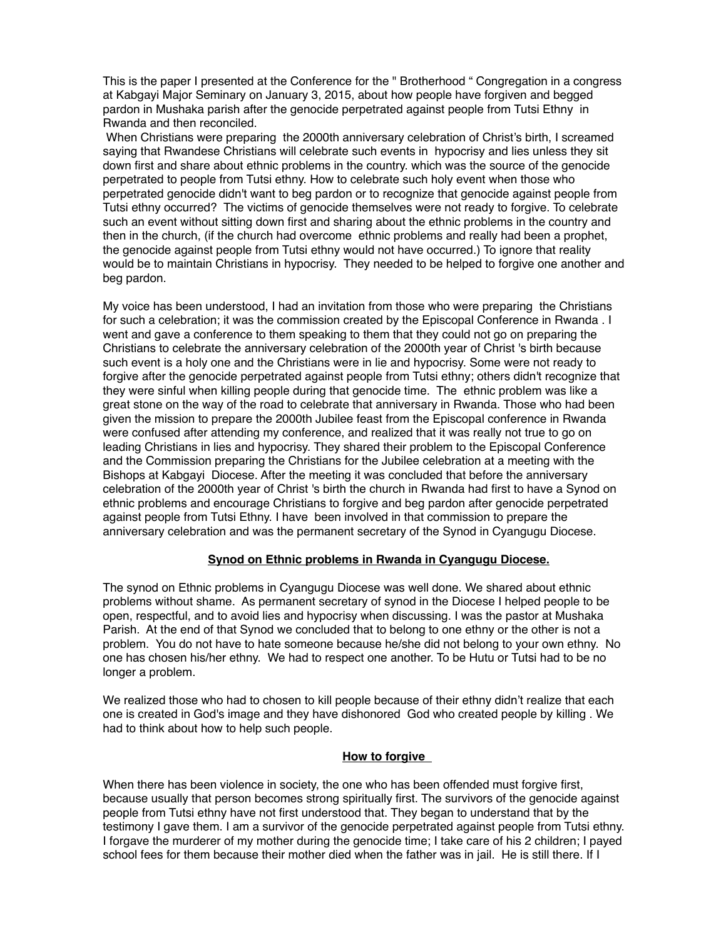This is the paper I presented at the Conference for the " Brotherhood " Congregation in a congress at Kabgayi Major Seminary on January 3, 2015, about how people have forgiven and begged pardon in Mushaka parish after the genocide perpetrated against people from Tutsi Ethny in Rwanda and then reconciled.

 When Christians were preparing the 2000th anniversary celebration of Christ's birth, I screamed saying that Rwandese Christians will celebrate such events in hypocrisy and lies unless they sit down first and share about ethnic problems in the country. which was the source of the genocide perpetrated to people from Tutsi ethny. How to celebrate such holy event when those who perpetrated genocide didn't want to beg pardon or to recognize that genocide against people from Tutsi ethny occurred? The victims of genocide themselves were not ready to forgive. To celebrate such an event without sitting down first and sharing about the ethnic problems in the country and then in the church, (if the church had overcome ethnic problems and really had been a prophet, the genocide against people from Tutsi ethny would not have occurred.) To ignore that reality would be to maintain Christians in hypocrisy. They needed to be helped to forgive one another and beg pardon.

My voice has been understood, I had an invitation from those who were preparing the Christians for such a celebration; it was the commission created by the Episcopal Conference in Rwanda . I went and gave a conference to them speaking to them that they could not go on preparing the Christians to celebrate the anniversary celebration of the 2000th year of Christ 's birth because such event is a holy one and the Christians were in lie and hypocrisy. Some were not ready to forgive after the genocide perpetrated against people from Tutsi ethny; others didn't recognize that they were sinful when killing people during that genocide time. The ethnic problem was like a great stone on the way of the road to celebrate that anniversary in Rwanda. Those who had been given the mission to prepare the 2000th Jubilee feast from the Episcopal conference in Rwanda were confused after attending my conference, and realized that it was really not true to go on leading Christians in lies and hypocrisy. They shared their problem to the Episcopal Conference and the Commission preparing the Christians for the Jubilee celebration at a meeting with the Bishops at Kabgayi Diocese. After the meeting it was concluded that before the anniversary celebration of the 2000th year of Christ 's birth the church in Rwanda had first to have a Synod on ethnic problems and encourage Christians to forgive and beg pardon after genocide perpetrated against people from Tutsi Ethny. I have been involved in that commission to prepare the anniversary celebration and was the permanent secretary of the Synod in Cyangugu Diocese.

# **Synod on Ethnic problems in Rwanda in Cyangugu Diocese.**

The synod on Ethnic problems in Cyangugu Diocese was well done. We shared about ethnic problems without shame. As permanent secretary of synod in the Diocese I helped people to be open, respectful, and to avoid lies and hypocrisy when discussing. I was the pastor at Mushaka Parish. At the end of that Synod we concluded that to belong to one ethny or the other is not a problem. You do not have to hate someone because he/she did not belong to your own ethny. No one has chosen his/her ethny. We had to respect one another. To be Hutu or Tutsi had to be no longer a problem.

We realized those who had to chosen to kill people because of their ethny didn't realize that each one is created in God's image and they have dishonored God who created people by killing . We had to think about how to help such people.

#### **How to forgive**

When there has been violence in society, the one who has been offended must forgive first, because usually that person becomes strong spiritually first. The survivors of the genocide against people from Tutsi ethny have not first understood that. They began to understand that by the testimony I gave them. I am a survivor of the genocide perpetrated against people from Tutsi ethny. I forgave the murderer of my mother during the genocide time; I take care of his 2 children; I payed school fees for them because their mother died when the father was in jail. He is still there. If I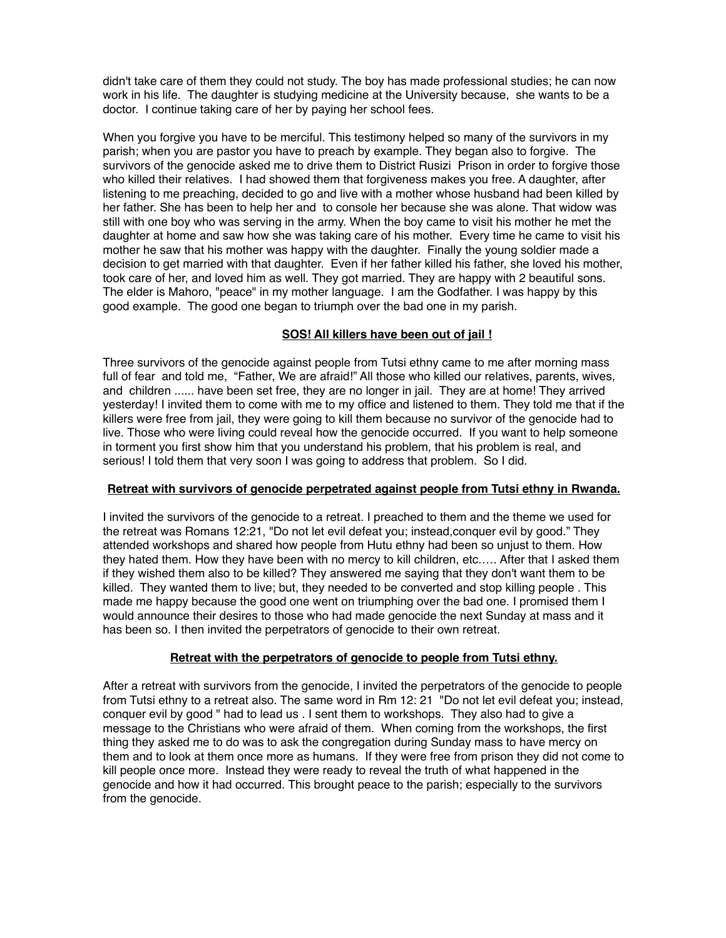didn't take care of them they could not study. The boy has made professional studies; he can now work in his life. The daughter is studying medicine at the University because, she wants to be a doctor. I continue taking care of her by paying her school fees.

When you forgive you have to be merciful. This testimony helped so many of the survivors in my parish; when you are pastor you have to preach by example. They began also to forgive. The survivors of the genocide asked me to drive them to District Rusizi Prison in order to forgive those who killed their relatives. I had showed them that forgiveness makes you free. A daughter, after listening to me preaching, decided to go and live with a mother whose husband had been killed by her father. She has been to help her and to console her because she was alone. That widow was still with one boy who was serving in the army. When the boy came to visit his mother he met the daughter at home and saw how she was taking care of his mother. Every time he came to visit his mother he saw that his mother was happy with the daughter. Finally the young soldier made a decision to get married with that daughter. Even if her father killed his father, she loved his mother, took care of her, and loved him as well. They got married. They are happy with 2 beautiful sons. The elder is Mahoro, "peace" in my mother language. I am the Godfather. I was happy by this good example. The good one began to triumph over the bad one in my parish.

### **SOS! All killers have been out of jail !**

Three survivors of the genocide against people from Tutsi ethny came to me after morning mass full of fear and told me, "Father, We are afraid!" All those who killed our relatives, parents, wives, and children ...... have been set free, they are no longer in jail. They are at home! They arrived yesterday! I invited them to come with me to my office and listened to them. They told me that if the killers were free from jail, they were going to kill them because no survivor of the genocide had to live. Those who were living could reveal how the genocide occurred. If you want to help someone in torment you first show him that you understand his problem, that his problem is real, and serious! I told them that very soon I was going to address that problem. So I did.

# **Retreat with survivors of genocide perpetrated against people from Tutsi ethny in Rwanda.**

I invited the survivors of the genocide to a retreat. I preached to them and the theme we used for the retreat was Romans 12:21, "Do not let evil defeat you; instead,conquer evil by good." They attended workshops and shared how people from Hutu ethny had been so unjust to them. How they hated them. How they have been with no mercy to kill children, etc.…. After that I asked them if they wished them also to be killed? They answered me saying that they don't want them to be killed. They wanted them to live; but, they needed to be converted and stop killing people . This made me happy because the good one went on triumphing over the bad one. I promised them I would announce their desires to those who had made genocide the next Sunday at mass and it has been so. I then invited the perpetrators of genocide to their own retreat.

# **Retreat with the perpetrators of genocide to people from Tutsi ethny.**

After a retreat with survivors from the genocide, I invited the perpetrators of the genocide to people from Tutsi ethny to a retreat also. The same word in Rm 12: 21 "Do not let evil defeat you; instead, conquer evil by good " had to lead us . I sent them to workshops. They also had to give a message to the Christians who were afraid of them. When coming from the workshops, the first thing they asked me to do was to ask the congregation during Sunday mass to have mercy on them and to look at them once more as humans. If they were free from prison they did not come to kill people once more. Instead they were ready to reveal the truth of what happened in the genocide and how it had occurred. This brought peace to the parish; especially to the survivors from the genocide.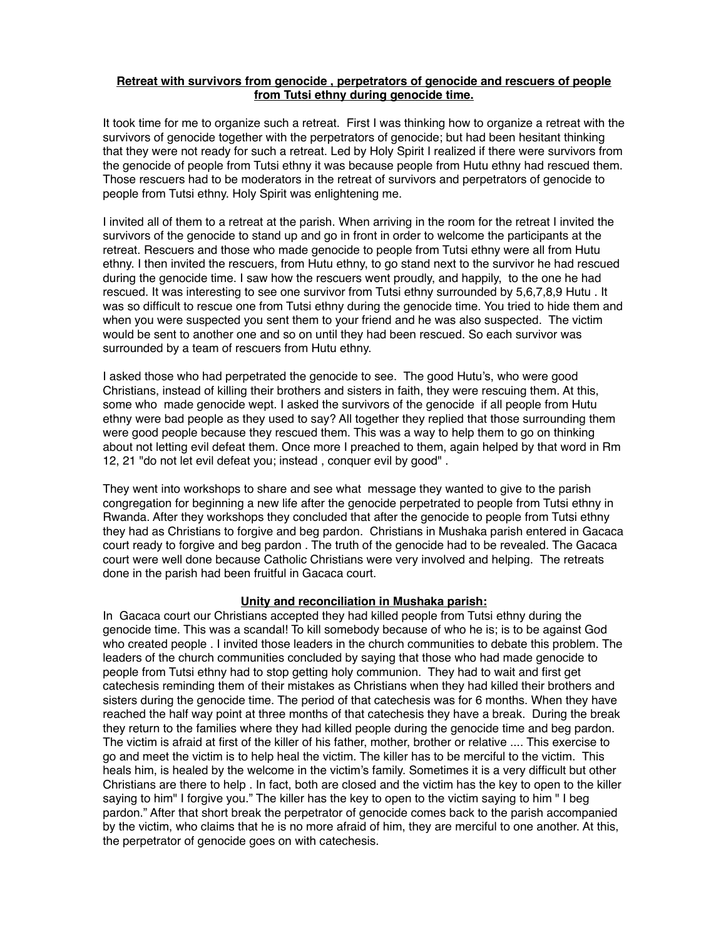### **Retreat with survivors from genocide , perpetrators of genocide and rescuers of people from Tutsi ethny during genocide time.**

It took time for me to organize such a retreat. First I was thinking how to organize a retreat with the survivors of genocide together with the perpetrators of genocide; but had been hesitant thinking that they were not ready for such a retreat. Led by Holy Spirit I realized if there were survivors from the genocide of people from Tutsi ethny it was because people from Hutu ethny had rescued them. Those rescuers had to be moderators in the retreat of survivors and perpetrators of genocide to people from Tutsi ethny. Holy Spirit was enlightening me.

I invited all of them to a retreat at the parish. When arriving in the room for the retreat I invited the survivors of the genocide to stand up and go in front in order to welcome the participants at the retreat. Rescuers and those who made genocide to people from Tutsi ethny were all from Hutu ethny. I then invited the rescuers, from Hutu ethny, to go stand next to the survivor he had rescued during the genocide time. I saw how the rescuers went proudly, and happily, to the one he had rescued. It was interesting to see one survivor from Tutsi ethny surrounded by 5,6,7,8,9 Hutu . It was so difficult to rescue one from Tutsi ethny during the genocide time. You tried to hide them and when you were suspected you sent them to your friend and he was also suspected. The victim would be sent to another one and so on until they had been rescued. So each survivor was surrounded by a team of rescuers from Hutu ethny.

I asked those who had perpetrated the genocide to see. The good Hutu's, who were good Christians, instead of killing their brothers and sisters in faith, they were rescuing them. At this, some who made genocide wept. I asked the survivors of the genocide if all people from Hutu ethny were bad people as they used to say? All together they replied that those surrounding them were good people because they rescued them. This was a way to help them to go on thinking about not letting evil defeat them. Once more I preached to them, again helped by that word in Rm 12, 21 "do not let evil defeat you; instead , conquer evil by good" .

They went into workshops to share and see what message they wanted to give to the parish congregation for beginning a new life after the genocide perpetrated to people from Tutsi ethny in Rwanda. After they workshops they concluded that after the genocide to people from Tutsi ethny they had as Christians to forgive and beg pardon. Christians in Mushaka parish entered in Gacaca court ready to forgive and beg pardon . The truth of the genocide had to be revealed. The Gacaca court were well done because Catholic Christians were very involved and helping. The retreats done in the parish had been fruitful in Gacaca court.

#### **Unity and reconciliation in Mushaka parish:**

In Gacaca court our Christians accepted they had killed people from Tutsi ethny during the genocide time. This was a scandal! To kill somebody because of who he is; is to be against God who created people . I invited those leaders in the church communities to debate this problem. The leaders of the church communities concluded by saying that those who had made genocide to people from Tutsi ethny had to stop getting holy communion. They had to wait and first get catechesis reminding them of their mistakes as Christians when they had killed their brothers and sisters during the genocide time. The period of that catechesis was for 6 months. When they have reached the half way point at three months of that catechesis they have a break. During the break they return to the families where they had killed people during the genocide time and beg pardon. The victim is afraid at first of the killer of his father, mother, brother or relative .... This exercise to go and meet the victim is to help heal the victim. The killer has to be merciful to the victim. This heals him, is healed by the welcome in the victim's family. Sometimes it is a very difficult but other Christians are there to help . In fact, both are closed and the victim has the key to open to the killer saying to him" I forgive you." The killer has the key to open to the victim saying to him " I beg pardon." After that short break the perpetrator of genocide comes back to the parish accompanied by the victim, who claims that he is no more afraid of him, they are merciful to one another. At this, the perpetrator of genocide goes on with catechesis.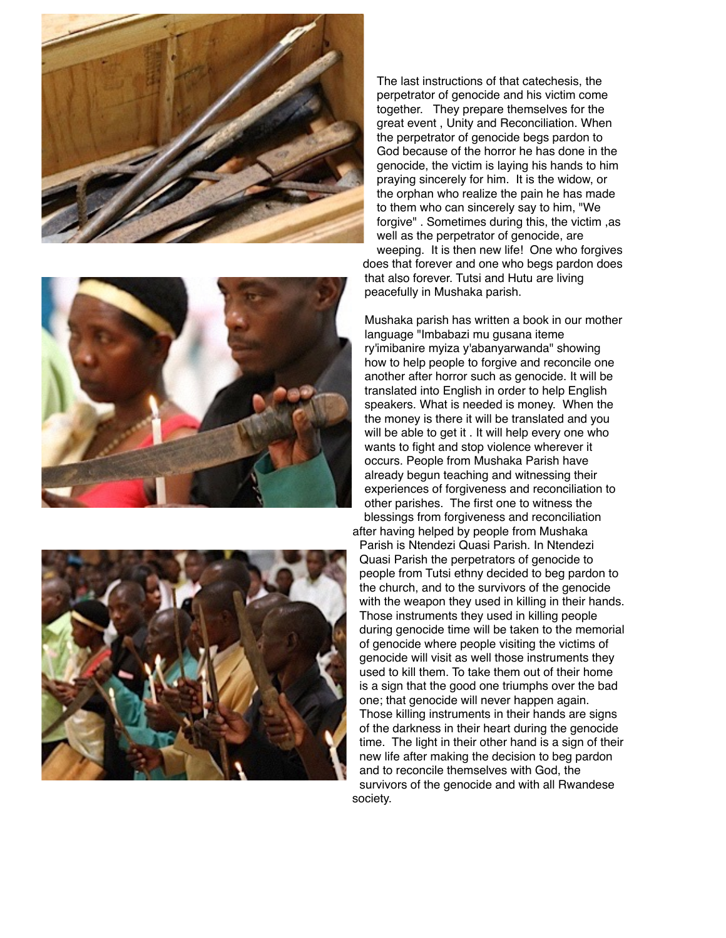





The last instructions of that catechesis, the perpetrator of genocide and his victim come together. They prepare themselves for the great event , Unity and Reconciliation. When the perpetrator of genocide begs pardon to God because of the horror he has done in the genocide, the victim is laying his hands to him praying sincerely for him. It is the widow, or the orphan who realize the pain he has made to them who can sincerely say to him, "We forgive" . Sometimes during this, the victim ,as well as the perpetrator of genocide, are weeping. It is then new life! One who forgives does that forever and one who begs pardon does

that also forever. Tutsi and Hutu are living peacefully in Mushaka parish.

Mushaka parish has written a book in our mother language "Imbabazi mu gusana iteme ry'imibanire myiza y'abanyarwanda" showing how to help people to forgive and reconcile one another after horror such as genocide. It will be translated into English in order to help English speakers. What is needed is money. When the the money is there it will be translated and you will be able to get it . It will help every one who wants to fight and stop violence wherever it occurs. People from Mushaka Parish have already begun teaching and witnessing their experiences of forgiveness and reconciliation to other parishes. The first one to witness the blessings from forgiveness and reconciliation after having helped by people from Mushaka

Parish is Ntendezi Quasi Parish. In Ntendezi Quasi Parish the perpetrators of genocide to people from Tutsi ethny decided to beg pardon to the church, and to the survivors of the genocide with the weapon they used in killing in their hands. Those instruments they used in killing people during genocide time will be taken to the memorial of genocide where people visiting the victims of genocide will visit as well those instruments they used to kill them. To take them out of their home is a sign that the good one triumphs over the bad one; that genocide will never happen again. Those killing instruments in their hands are signs of the darkness in their heart during the genocide time. The light in their other hand is a sign of their new life after making the decision to beg pardon and to reconcile themselves with God, the survivors of the genocide and with all Rwandese society.